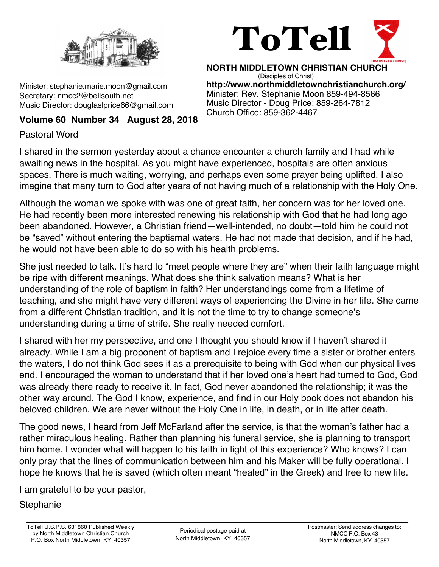

Minister: stephanie.marie.moon@gmail.com Secretary: nmcc2@bellsouth.net Music Director: douglaslprice66@gmail.com

# ToTell

**NORTH MIDDLETOWN CHRISTIAN CHURCH** (Disciples of Christ) **http://www.northmiddletownchristianchurch.org/** Minister: Rev. Stephanie Moon 859-494-8566 Music Director - Doug Price: 859-264-7812 Church Office: 859-362-4467

# **Volume 60 Number 34 August 28, 2018**

Pastoral Word

I shared in the sermon yesterday about a chance encounter a church family and I had while awaiting news in the hospital. As you might have experienced, hospitals are often anxious spaces. There is much waiting, worrying, and perhaps even some prayer being uplifted. I also imagine that many turn to God after years of not having much of a relationship with the Holy One.

Although the woman we spoke with was one of great faith, her concern was for her loved one. He had recently been more interested renewing his relationship with God that he had long ago been abandoned. However, a Christian friend—well-intended, no doubt—told him he could not be "saved" without entering the baptismal waters. He had not made that decision, and if he had, he would not have been able to do so with his health problems.

She just needed to talk. It's hard to "meet people where they are" when their faith language might be ripe with different meanings. What does she think salvation means? What is her understanding of the role of baptism in faith? Her understandings come from a lifetime of teaching, and she might have very different ways of experiencing the Divine in her life. She came from a different Christian tradition, and it is not the time to try to change someone's understanding during a time of strife. She really needed comfort.

I shared with her my perspective, and one I thought you should know if I haven't shared it already. While I am a big proponent of baptism and I rejoice every time a sister or brother enters the waters, I do not think God sees it as a prerequisite to being with God when our physical lives end. I encouraged the woman to understand that if her loved one's heart had turned to God, God was already there ready to receive it. In fact, God never abandoned the relationship; it was the other way around. The God I know, experience, and find in our Holy book does not abandon his beloved children. We are never without the Holy One in life, in death, or in life after death.

The good news, I heard from Jeff McFarland after the service, is that the woman's father had a rather miraculous healing. Rather than planning his funeral service, she is planning to transport him home. I wonder what will happen to his faith in light of this experience? Who knows? I can only pray that the lines of communication between him and his Maker will be fully operational. I hope he knows that he is saved (which often meant "healed" in the Greek) and free to new life.

I am grateful to be your pastor,

**Stephanie**